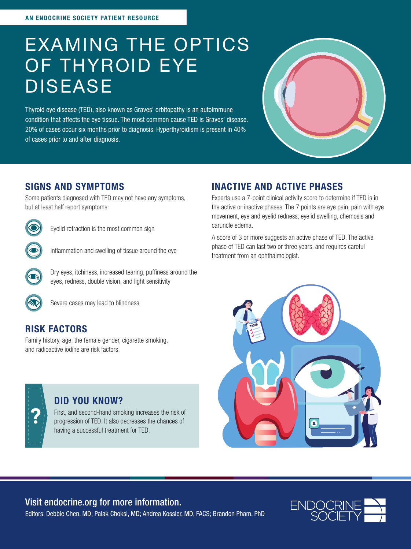# EXAMING THE OPTICS OF THYROID EYE DISEASE

Thyroid eye disease (TED), also known as Graves' orbitopathy is an autoimmune condition that affects the eye tissue. The most common cause TED is Graves' disease. 20% of cases occur six months prior to diagnosis. Hyperthyroidism is present in 40% of cases prior to and after diagnosis.



### SIGNS AND SYMPTOMS

Some patients diagnosed with TED may not have any symptoms, but at least half report symptoms:



Eyelid retraction is the most common sign



Inflammation and swelling of tissue around the eye



Dry eyes, itchiness, increased tearing, puffiness around the eyes, redness, double vision, and light sensitivity



Severe cases may lead to blindness

### RISK FACTORS

Family history, age, the female gender, cigarette smoking, and radioactive iodine are risk factors.



#### DID YOU KNOW?

First, and second-hand smoking increases the risk of progression of TED. It also decreases the chances of having a successful treatment for TED.

## INACTIVE AND ACTIVE PHASES

Experts use a 7-point clinical activity score to determine if TED is in the active or inactive phases. The 7 points are eye pain, pain with eye movement, eye and eyelid redness, eyelid swelling, chemosis and caruncle edema.

A score of 3 or more suggests an active phase of TED. The active phase of TED can last two or three years, and requires careful treatment from an ophthalmologist.



### Visit endocrine.org for more information.



Editors: Debbie Chen, MD; Palak Choksi, MD; Andrea Kossler, MD, FACS; Brandon Pham, PhD